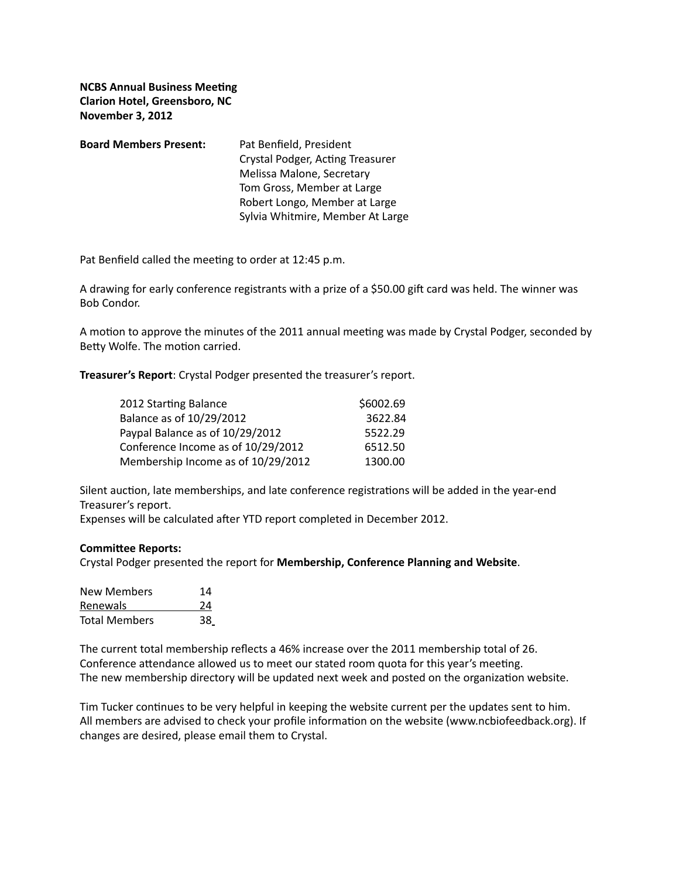**NCBS Annual Business Meeting Clarion Hotel, Greensboro, NC November 3, 2012**

| <b>Board Members Present:</b> | Pat Benfield, President          |
|-------------------------------|----------------------------------|
|                               | Crystal Podger, Acting Treasurer |
|                               | Melissa Malone, Secretary        |
|                               | Tom Gross, Member at Large       |
|                               | Robert Longo, Member at Large    |
|                               | Sylvia Whitmire, Member At Large |

Pat Benfield called the meeting to order at 12:45 p.m.

A drawing for early conference registrants with a prize of a \$50.00 gift card was held. The winner was Bob Condor. 

A motion to approve the minutes of the 2011 annual meeting was made by Crystal Podger, seconded by Betty Wolfe. The motion carried.

**Treasurer's Report:** Crystal Podger presented the treasurer's report.

| 2012 Starting Balance              | \$6002.69 |
|------------------------------------|-----------|
| Balance as of 10/29/2012           | 3622.84   |
| Paypal Balance as of 10/29/2012    | 5522.29   |
| Conference Income as of 10/29/2012 | 6512.50   |
| Membership Income as of 10/29/2012 | 1300.00   |

Silent auction, late memberships, and late conference registrations will be added in the year-end Treasurer's report.

Expenses will be calculated after YTD report completed in December 2012.

## **Committee Reports:**

Crystal Podger presented the report for Membership, Conference Planning and Website.

| <b>New Members</b>   | 14 |
|----------------------|----|
| Renewals             | 24 |
| <b>Total Members</b> | 38 |

The current total membership reflects a 46% increase over the 2011 membership total of 26. Conference attendance allowed us to meet our stated room quota for this year's meeting. The new membership directory will be updated next week and posted on the organization website.

Tim Tucker continues to be very helpful in keeping the website current per the updates sent to him. All members are advised to check your profile information on the website (www.ncbiofeedback.org). If changes are desired, please email them to Crystal.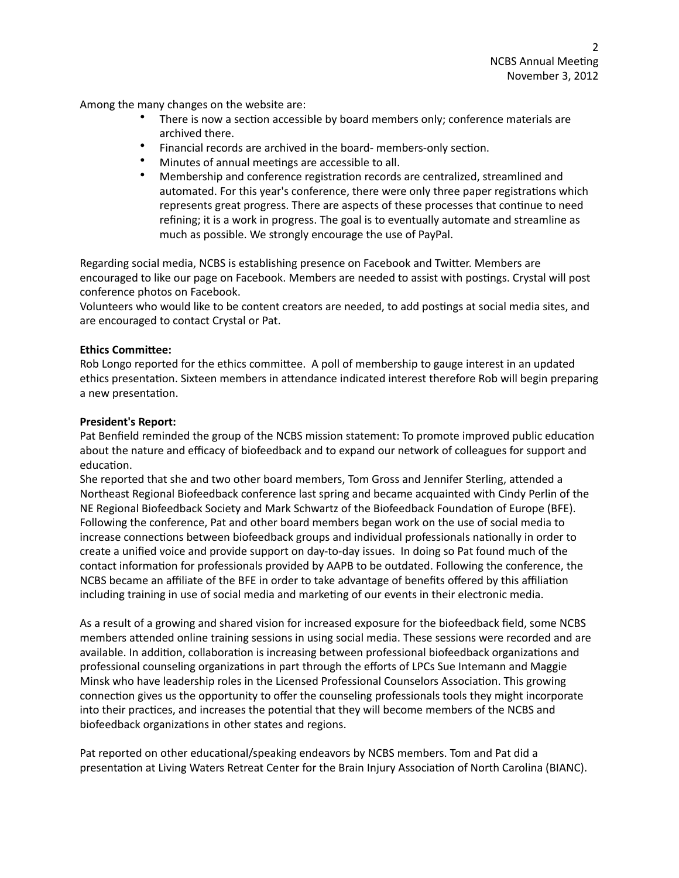Among the many changes on the website are:

- There is now a section accessible by board members only; conference materials are archived there.
- Financial records are archived in the board- members-only section.
- Minutes of annual meetings are accessible to all.
- Membership and conference registration records are centralized, streamlined and automated. For this year's conference, there were only three paper registrations which represents great progress. There are aspects of these processes that continue to need refining; it is a work in progress. The goal is to eventually automate and streamline as much as possible. We strongly encourage the use of PayPal.

Regarding social media, NCBS is establishing presence on Facebook and Twitter. Members are encouraged to like our page on Facebook. Members are needed to assist with postings. Crystal will post conference photos on Facebook.

Volunteers who would like to be content creators are needed, to add postings at social media sites, and are encouraged to contact Crystal or Pat.

## **Ethics Committee:**

Rob Longo reported for the ethics committee. A poll of membership to gauge interest in an updated ethics presentation. Sixteen members in attendance indicated interest therefore Rob will begin preparing a new presentation.

## **President's Report:**

Pat Benfield reminded the group of the NCBS mission statement: To promote improved public education about the nature and efficacy of biofeedback and to expand our network of colleagues for support and education.

She reported that she and two other board members, Tom Gross and Jennifer Sterling, attended a Northeast Regional Biofeedback conference last spring and became acquainted with Cindy Perlin of the NE Regional Biofeedback Society and Mark Schwartz of the Biofeedback Foundation of Europe (BFE). Following the conference, Pat and other board members began work on the use of social media to increase connections between biofeedback groups and individual professionals nationally in order to create a unified voice and provide support on day-to-day issues. In doing so Pat found much of the contact information for professionals provided by AAPB to be outdated. Following the conference, the NCBS became an affiliate of the BFE in order to take advantage of benefits offered by this affiliation including training in use of social media and marketing of our events in their electronic media.

As a result of a growing and shared vision for increased exposure for the biofeedback field, some NCBS members attended online training sessions in using social media. These sessions were recorded and are available. In addition, collaboration is increasing between professional biofeedback organizations and professional counseling organizations in part through the efforts of LPCs Sue Intemann and Maggie Minsk who have leadership roles in the Licensed Professional Counselors Association. This growing connection gives us the opportunity to offer the counseling professionals tools they might incorporate into their practices, and increases the potential that they will become members of the NCBS and biofeedback organizations in other states and regions.

Pat reported on other educational/speaking endeavors by NCBS members. Tom and Pat did a presentation at Living Waters Retreat Center for the Brain Injury Association of North Carolina (BIANC).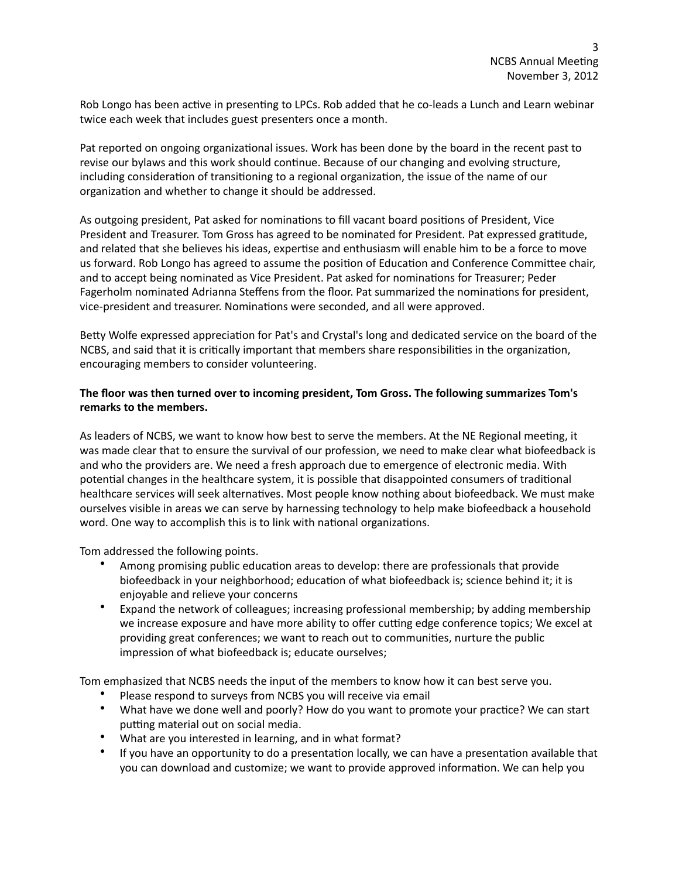Rob Longo has been active in presenting to LPCs. Rob added that he co-leads a Lunch and Learn webinar twice each week that includes guest presenters once a month.

Pat reported on ongoing organizational issues. Work has been done by the board in the recent past to revise our bylaws and this work should continue. Because of our changing and evolving structure, including consideration of transitioning to a regional organization, the issue of the name of our organization and whether to change it should be addressed.

As outgoing president, Pat asked for nominations to fill vacant board positions of President, Vice President and Treasurer. Tom Gross has agreed to be nominated for President. Pat expressed gratitude, and related that she believes his ideas, expertise and enthusiasm will enable him to be a force to move us forward. Rob Longo has agreed to assume the position of Education and Conference Committee chair, and to accept being nominated as Vice President. Pat asked for nominations for Treasurer; Peder Fagerholm nominated Adrianna Steffens from the floor. Pat summarized the nominations for president, vice-president and treasurer. Nominations were seconded, and all were approved.

Betty Wolfe expressed appreciation for Pat's and Crystal's long and dedicated service on the board of the NCBS, and said that it is critically important that members share responsibilities in the organization, encouraging members to consider volunteering.

## The floor was then turned over to incoming president, Tom Gross. The following summarizes Tom's remarks to the members.

As leaders of NCBS, we want to know how best to serve the members. At the NE Regional meeting, it was made clear that to ensure the survival of our profession, we need to make clear what biofeedback is and who the providers are. We need a fresh approach due to emergence of electronic media. With potential changes in the healthcare system, it is possible that disappointed consumers of traditional healthcare services will seek alternatives. Most people know nothing about biofeedback. We must make ourselves visible in areas we can serve by harnessing technology to help make biofeedback a household word. One way to accomplish this is to link with national organizations.

Tom addressed the following points.

- Among promising public education areas to develop: there are professionals that provide biofeedback in your neighborhood; education of what biofeedback is; science behind it; it is enjoyable and relieve your concerns
- Expand the network of colleagues; increasing professional membership; by adding membership we increase exposure and have more ability to offer cutting edge conference topics; We excel at providing great conferences; we want to reach out to communities, nurture the public impression of what biofeedback is; educate ourselves;

Tom emphasized that NCBS needs the input of the members to know how it can best serve you.

- Please respond to surveys from NCBS you will receive via email
- What have we done well and poorly? How do you want to promote your practice? We can start putting material out on social media.
- What are you interested in learning, and in what format?
- If you have an opportunity to do a presentation locally, we can have a presentation available that you can download and customize; we want to provide approved information. We can help you